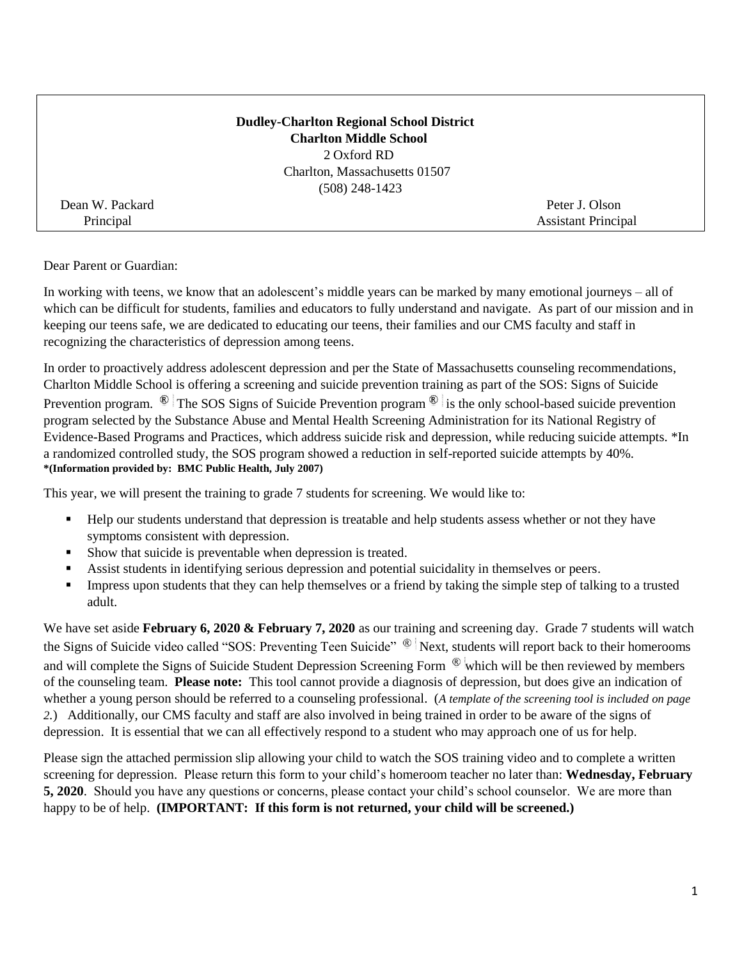**Dudley-Charlton Regional School District Charlton Middle School** 2 Oxford RD Charlton, Massachusetts 01507 (508) 248-1423

Dean W. Packard Peter J. Olson

Principal Assistant Principal Assistant Principal Assistant Principal Assistant Principal Assistant Principal

Dear Parent or Guardian:

In working with teens, we know that an adolescent's middle years can be marked by many emotional journeys – all of which can be difficult for students, families and educators to fully understand and navigate. As part of our mission and in keeping our teens safe, we are dedicated to educating our teens, their families and our CMS faculty and staff in recognizing the characteristics of depression among teens.

In order to proactively address adolescent depression and per the State of Massachusetts counseling recommendations, Charlton Middle School is offering a screening and suicide prevention training as part of the SOS: Signs of Suicide Prevention program.  $\bigcirc$  The SOS Signs of Suicide Prevention program  $\bigcirc$  is the only school-based suicide prevention program selected by the Substance Abuse and Mental Health Screening Administration for its National Registry of Evidence-Based Programs and Practices, which address suicide risk and depression, while reducing suicide attempts. \*In a randomized controlled study, the SOS program showed a reduction in self-reported suicide attempts by 40%. **\*(Information provided by: BMC Public Health, July 2007)**

This year, we will present the training to grade 7 students for screening. We would like to:

- Help our students understand that depression is treatable and help students assess whether or not they have symptoms consistent with depression.
- Show that suicide is preventable when depression is treated.
- Assist students in identifying serious depression and potential suicidality in themselves or peers.
- **•** Impress upon students that they can help themselves or a friend by taking the simple step of talking to a trusted adult.

We have set aside **February 6, 2020 & February 7, 2020** as our training and screening day. Grade 7 students will watch the Signs of Suicide video called "SOS: Preventing Teen Suicide"  $\mathbb{R}$  Next, students will report back to their homerooms and will complete the Signs of Suicide Student Depression Screening Form <sup>®</sup> which will be then reviewed by members of the counseling team. **Please note:** This tool cannot provide a diagnosis of depression, but does give an indication of whether a young person should be referred to a counseling professional. (*A template of the screening tool is included on page 2.*) Additionally, our CMS faculty and staff are also involved in being trained in order to be aware of the signs of depression. It is essential that we can all effectively respond to a student who may approach one of us for help.

Please sign the attached permission slip allowing your child to watch the SOS training video and to complete a written screening for depression. Please return this form to your child's homeroom teacher no later than: **Wednesday, February 5, 2020**. Should you have any questions or concerns, please contact your child's school counselor. We are more than happy to be of help. **(IMPORTANT: If this form is not returned, your child will be screened.)**